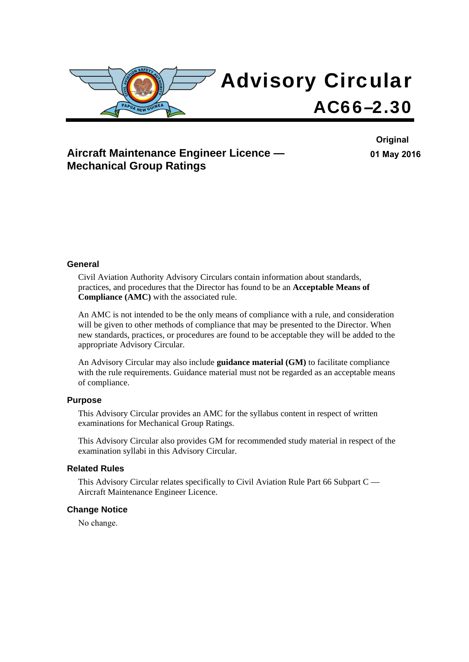

## **Aircraft Maintenance Engineer Licence — Mechanical Group Ratings**

**Original 01 May 2016**

### **General**

Civil Aviation Authority Advisory Circulars contain information about standards, practices, and procedures that the Director has found to be an **Acceptable Means of Compliance (AMC)** with the associated rule.

An AMC is not intended to be the only means of compliance with a rule, and consideration will be given to other methods of compliance that may be presented to the Director. When new standards, practices, or procedures are found to be acceptable they will be added to the appropriate Advisory Circular.

An Advisory Circular may also include **guidance material (GM)** to facilitate compliance with the rule requirements. Guidance material must not be regarded as an acceptable means of compliance.

### **Purpose**

This Advisory Circular provides an AMC for the syllabus content in respect of written examinations for Mechanical Group Ratings.

This Advisory Circular also provides GM for recommended study material in respect of the examination syllabi in this Advisory Circular.

#### **Related Rules**

This Advisory Circular relates specifically to Civil Aviation Rule Part 66 Subpart C — Aircraft Maintenance Engineer Licence.

#### **Change Notice**

No change.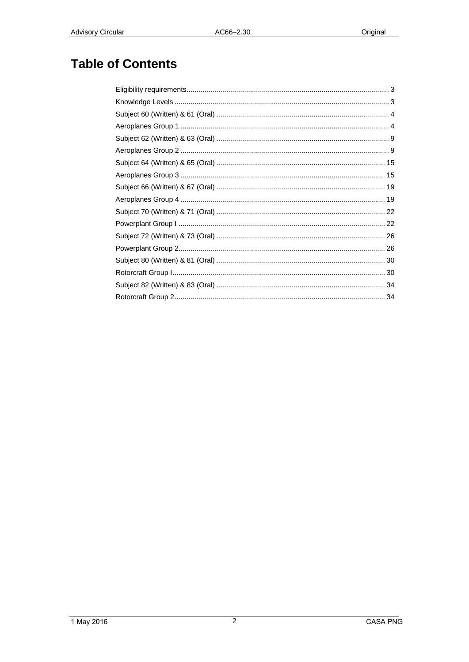# **Table of Contents**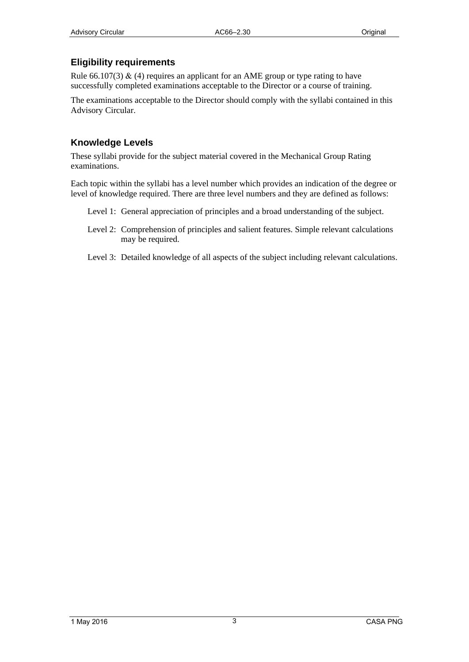## <span id="page-2-1"></span><span id="page-2-0"></span>**Eligibility requirements**

Rule 66.107(3)  $\&$  (4) requires an applicant for an AME group or type rating to have successfully completed examinations acceptable to the Director or a course of training.

The examinations acceptable to the Director should comply with the syllabi contained in this Advisory Circular.

### <span id="page-2-2"></span>**Knowledge Levels**

These syllabi provide for the subject material covered in the Mechanical Group Rating examinations.

Each topic within the syllabi has a level number which provides an indication of the degree or level of knowledge required. There are three level numbers and they are defined as follows:

- Level 1: General appreciation of principles and a broad understanding of the subject.
- Level 2: Comprehension of principles and salient features. Simple relevant calculations may be required.
- Level 3: Detailed knowledge of all aspects of the subject including relevant calculations.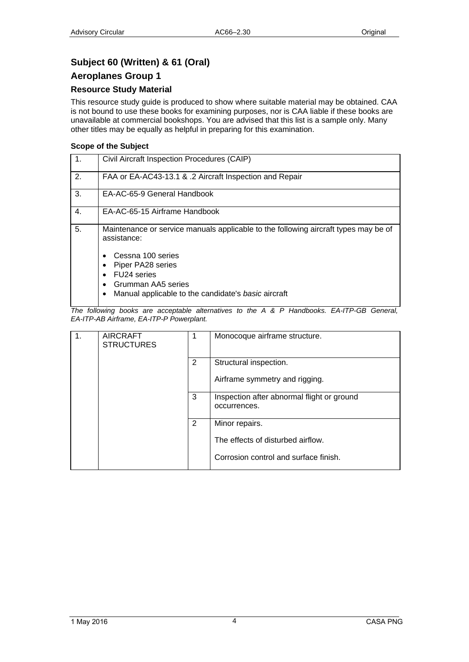## <span id="page-3-1"></span><span id="page-3-0"></span>**Subject 60 (Written) & 61 (Oral)**

### <span id="page-3-2"></span>**Aeroplanes Group 1**

### **Resource Study Material**

This resource study guide is produced to show where suitable material may be obtained. CAA is not bound to use these books for examining purposes, nor is CAA liable if these books are unavailable at commercial bookshops. You are advised that this list is a sample only. Many other titles may be equally as helpful in preparing for this examination.

### **Scope of the Subject**

| $\mathbf{1}$ . | Civil Aircraft Inspection Procedures (CAIP)                                                                                                                                                                                                                |
|----------------|------------------------------------------------------------------------------------------------------------------------------------------------------------------------------------------------------------------------------------------------------------|
| 2.             | FAA or EA-AC43-13.1 & .2 Aircraft Inspection and Repair                                                                                                                                                                                                    |
| 3.             | EA-AC-65-9 General Handbook                                                                                                                                                                                                                                |
| $\mathbf{4}$ . | EA-AC-65-15 Airframe Handbook                                                                                                                                                                                                                              |
| 5.             | Maintenance or service manuals applicable to the following aircraft types may be of<br>assistance:<br>Cessna 100 series<br>$\bullet$<br>Piper PA28 series<br>FU24 series<br>Grumman AA5 series<br>٠<br>Manual applicable to the candidate's basic aircraft |

| 1. | <b>AIRCRAFT</b><br><b>STRUCTURES</b> | 1 | Monocoque airframe structure.                              |
|----|--------------------------------------|---|------------------------------------------------------------|
|    |                                      | 2 | Structural inspection.                                     |
|    |                                      |   | Airframe symmetry and rigging.                             |
|    |                                      | 3 | Inspection after abnormal flight or ground<br>occurrences. |
|    |                                      | 2 | Minor repairs.                                             |
|    |                                      |   | The effects of disturbed airflow.                          |
|    |                                      |   | Corrosion control and surface finish.                      |
|    |                                      |   |                                                            |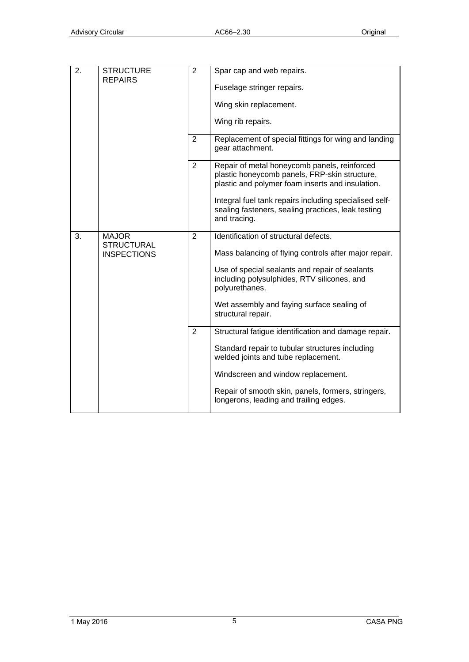| $\overline{2}$ . | <b>STRUCTURE</b><br><b>REPAIRS</b>                      | $\overline{2}$ | Spar cap and web repairs.<br>Fuselage stringer repairs.<br>Wing skin replacement.<br>Wing rib repairs.                                                                                                                                                                                |
|------------------|---------------------------------------------------------|----------------|---------------------------------------------------------------------------------------------------------------------------------------------------------------------------------------------------------------------------------------------------------------------------------------|
|                  |                                                         | $\overline{2}$ | Replacement of special fittings for wing and landing<br>gear attachment.                                                                                                                                                                                                              |
|                  |                                                         | $\overline{2}$ | Repair of metal honeycomb panels, reinforced<br>plastic honeycomb panels, FRP-skin structure,<br>plastic and polymer foam inserts and insulation.<br>Integral fuel tank repairs including specialised self-<br>sealing fasteners, sealing practices, leak testing<br>and tracing.     |
| 3.               | <b>MAJOR</b><br><b>STRUCTURAL</b><br><b>INSPECTIONS</b> | $\overline{2}$ | Identification of structural defects.<br>Mass balancing of flying controls after major repair.<br>Use of special sealants and repair of sealants<br>including polysulphides, RTV silicones, and<br>polyurethanes.<br>Wet assembly and faying surface sealing of<br>structural repair. |
|                  |                                                         | 2              | Structural fatigue identification and damage repair.<br>Standard repair to tubular structures including<br>welded joints and tube replacement.<br>Windscreen and window replacement.<br>Repair of smooth skin, panels, formers, stringers,<br>longerons, leading and trailing edges.  |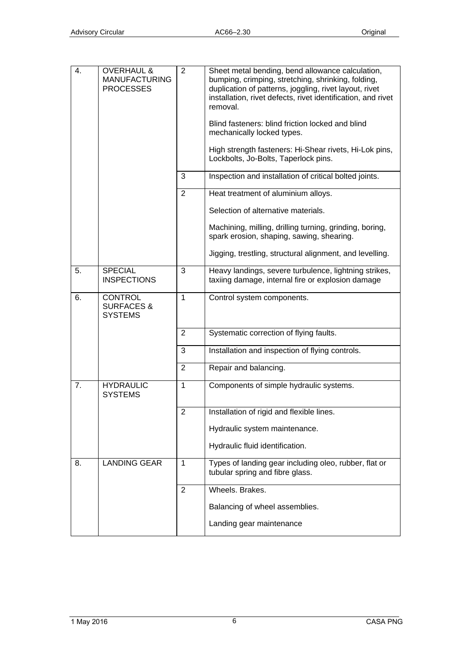| 4. | <b>OVERHAUL &amp;</b><br><b>MANUFACTURING</b><br><b>PROCESSES</b> | 2              | Sheet metal bending, bend allowance calculation,<br>bumping, crimping, stretching, shrinking, folding,<br>duplication of patterns, joggling, rivet layout, rivet<br>installation, rivet defects, rivet identification, and rivet<br>removal.<br>Blind fasteners: blind friction locked and blind<br>mechanically locked types. |
|----|-------------------------------------------------------------------|----------------|--------------------------------------------------------------------------------------------------------------------------------------------------------------------------------------------------------------------------------------------------------------------------------------------------------------------------------|
|    |                                                                   |                | High strength fasteners: Hi-Shear rivets, Hi-Lok pins,<br>Lockbolts, Jo-Bolts, Taperlock pins.                                                                                                                                                                                                                                 |
|    |                                                                   | 3              | Inspection and installation of critical bolted joints.                                                                                                                                                                                                                                                                         |
|    |                                                                   | $\overline{2}$ | Heat treatment of aluminium alloys.                                                                                                                                                                                                                                                                                            |
|    |                                                                   |                | Selection of alternative materials.                                                                                                                                                                                                                                                                                            |
|    |                                                                   |                | Machining, milling, drilling turning, grinding, boring,<br>spark erosion, shaping, sawing, shearing.                                                                                                                                                                                                                           |
|    |                                                                   |                | Jigging, trestling, structural alignment, and levelling.                                                                                                                                                                                                                                                                       |
| 5. | <b>SPECIAL</b><br><b>INSPECTIONS</b>                              | 3              | Heavy landings, severe turbulence, lightning strikes,<br>taxiing damage, internal fire or explosion damage                                                                                                                                                                                                                     |
| 6. | <b>CONTROL</b><br><b>SURFACES &amp;</b><br><b>SYSTEMS</b>         | $\mathbf{1}$   | Control system components.                                                                                                                                                                                                                                                                                                     |
|    |                                                                   | 2              | Systematic correction of flying faults.                                                                                                                                                                                                                                                                                        |
|    |                                                                   | 3              | Installation and inspection of flying controls.                                                                                                                                                                                                                                                                                |
|    |                                                                   | $\overline{2}$ | Repair and balancing.                                                                                                                                                                                                                                                                                                          |
| 7. | <b>HYDRAULIC</b><br><b>SYSTEMS</b>                                | 1              | Components of simple hydraulic systems.                                                                                                                                                                                                                                                                                        |
|    |                                                                   | $\overline{2}$ | Installation of rigid and flexible lines.                                                                                                                                                                                                                                                                                      |
|    |                                                                   |                | Hydraulic system maintenance.                                                                                                                                                                                                                                                                                                  |
|    |                                                                   |                | Hydraulic fluid identification.                                                                                                                                                                                                                                                                                                |
| 8. | <b>LANDING GEAR</b>                                               | 1              | Types of landing gear including oleo, rubber, flat or<br>tubular spring and fibre glass.                                                                                                                                                                                                                                       |
|    |                                                                   | 2              | Wheels. Brakes.                                                                                                                                                                                                                                                                                                                |
|    |                                                                   |                | Balancing of wheel assemblies.                                                                                                                                                                                                                                                                                                 |
|    |                                                                   |                | Landing gear maintenance                                                                                                                                                                                                                                                                                                       |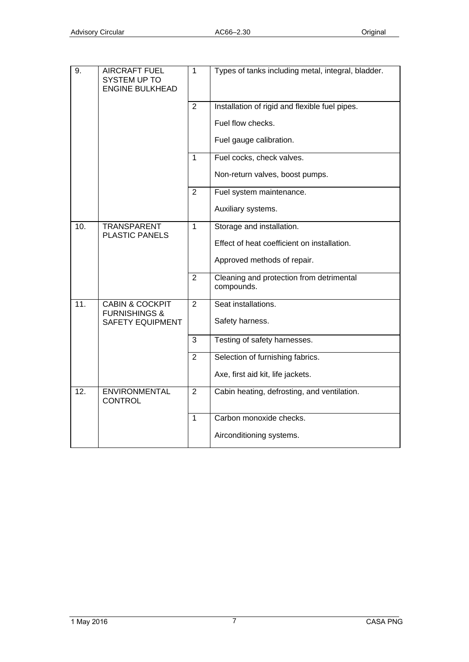| 9.  | <b>AIRCRAFT FUEL</b><br><b>SYSTEM UP TO</b><br><b>ENGINE BULKHEAD</b> | $\mathbf{1}$   | Types of tanks including metal, integral, bladder.     |
|-----|-----------------------------------------------------------------------|----------------|--------------------------------------------------------|
|     |                                                                       | $\overline{2}$ | Installation of rigid and flexible fuel pipes.         |
|     |                                                                       |                | Fuel flow checks.                                      |
|     |                                                                       |                | Fuel gauge calibration.                                |
|     |                                                                       | $\mathbf{1}$   | Fuel cocks, check valves.                              |
|     |                                                                       |                | Non-return valves, boost pumps.                        |
|     |                                                                       | 2              | Fuel system maintenance.                               |
|     |                                                                       |                | Auxiliary systems.                                     |
| 10. | <b>TRANSPARENT</b><br><b>PLASTIC PANELS</b>                           | 1              | Storage and installation.                              |
|     |                                                                       |                | Effect of heat coefficient on installation.            |
|     |                                                                       |                | Approved methods of repair.                            |
|     |                                                                       | $\overline{2}$ | Cleaning and protection from detrimental<br>compounds. |
| 11. | <b>CABIN &amp; COCKPIT</b><br><b>FURNISHINGS &amp;</b>                | $\overline{2}$ | Seat installations.                                    |
|     | <b>SAFETY EQUIPMENT</b>                                               |                | Safety harness.                                        |
|     |                                                                       | 3              | Testing of safety harnesses.                           |
|     |                                                                       | 2              | Selection of furnishing fabrics.                       |
|     |                                                                       |                | Axe, first aid kit, life jackets.                      |
| 12. | <b>ENVIRONMENTAL</b><br><b>CONTROL</b>                                | $\overline{2}$ | Cabin heating, defrosting, and ventilation.            |
|     |                                                                       | $\mathbf{1}$   | Carbon monoxide checks.                                |
|     |                                                                       |                | Airconditioning systems.                               |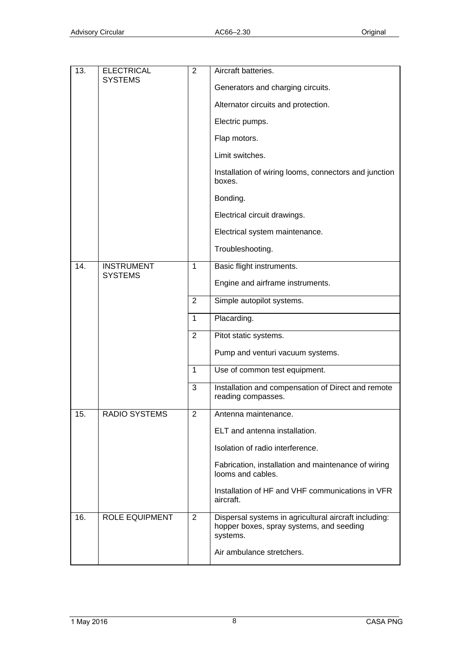| 13. | <b>ELECTRICAL</b><br><b>SYSTEMS</b> | $\overline{2}$ | Aircraft batteries.<br>Generators and charging circuits.                                                      |
|-----|-------------------------------------|----------------|---------------------------------------------------------------------------------------------------------------|
|     |                                     |                | Alternator circuits and protection.                                                                           |
|     |                                     |                | Electric pumps.                                                                                               |
|     |                                     |                | Flap motors.                                                                                                  |
|     |                                     |                | Limit switches.                                                                                               |
|     |                                     |                | Installation of wiring looms, connectors and junction<br>hoxes.                                               |
|     |                                     |                | Bonding.                                                                                                      |
|     |                                     |                | Electrical circuit drawings.                                                                                  |
|     |                                     |                | Electrical system maintenance.                                                                                |
|     |                                     |                | Troubleshooting.                                                                                              |
| 14. | <b>INSTRUMENT</b><br><b>SYSTEMS</b> | $\mathbf{1}$   | Basic flight instruments.                                                                                     |
|     |                                     |                | Engine and airframe instruments.                                                                              |
|     |                                     | 2              | Simple autopilot systems.                                                                                     |
|     |                                     | $\mathbf{1}$   | Placarding.                                                                                                   |
|     |                                     | $\overline{2}$ | Pitot static systems.                                                                                         |
|     |                                     |                | Pump and venturi vacuum systems.                                                                              |
|     |                                     | $\mathbf{1}$   | Use of common test equipment.                                                                                 |
|     |                                     | 3              | Installation and compensation of Direct and remote<br>reading compasses.                                      |
| 15. | <b>RADIO SYSTEMS</b>                | $\overline{2}$ | Antenna maintenance.                                                                                          |
|     |                                     |                | ELT and antenna installation.                                                                                 |
|     |                                     |                | Isolation of radio interference.                                                                              |
|     |                                     |                | Fabrication, installation and maintenance of wiring<br>looms and cables.                                      |
|     |                                     |                | Installation of HF and VHF communications in VFR<br>aircraft.                                                 |
| 16. | <b>ROLE EQUIPMENT</b>               | $\overline{2}$ | Dispersal systems in agricultural aircraft including:<br>hopper boxes, spray systems, and seeding<br>systems. |
|     |                                     |                | Air ambulance stretchers.                                                                                     |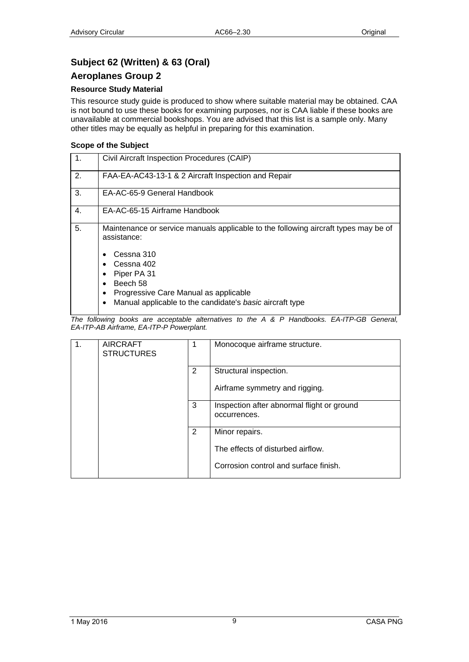## <span id="page-8-1"></span><span id="page-8-0"></span>**Subject 62 (Written) & 63 (Oral)**

### <span id="page-8-2"></span>**Aeroplanes Group 2**

### **Resource Study Material**

This resource study guide is produced to show where suitable material may be obtained. CAA is not bound to use these books for examining purposes, nor is CAA liable if these books are unavailable at commercial bookshops. You are advised that this list is a sample only. Many other titles may be equally as helpful in preparing for this examination.

### **Scope of the Subject**

| $\mathbf{1}$ . | Civil Aircraft Inspection Procedures (CAIP)                                                                                                                                |
|----------------|----------------------------------------------------------------------------------------------------------------------------------------------------------------------------|
| 2.             | FAA-EA-AC43-13-1 & 2 Aircraft Inspection and Repair                                                                                                                        |
| 3.             | EA-AC-65-9 General Handbook                                                                                                                                                |
| 4.             | EA-AC-65-15 Airframe Handbook                                                                                                                                              |
| 5.             | Maintenance or service manuals applicable to the following aircraft types may be of<br>assistance:                                                                         |
|                | Cessna 310<br>Cessna 402<br>Piper PA 31<br>Beech 58<br>$\bullet$<br>Progressive Care Manual as applicable<br>Manual applicable to the candidate's basic aircraft type<br>٠ |

| 1. | <b>AIRCRAFT</b><br><b>STRUCTURES</b> | 1 | Monocoque airframe structure.                              |
|----|--------------------------------------|---|------------------------------------------------------------|
|    |                                      | 2 | Structural inspection.                                     |
|    |                                      |   | Airframe symmetry and rigging.                             |
|    |                                      | 3 | Inspection after abnormal flight or ground<br>occurrences. |
|    |                                      | 2 | Minor repairs.                                             |
|    |                                      |   | The effects of disturbed airflow.                          |
|    |                                      |   | Corrosion control and surface finish.                      |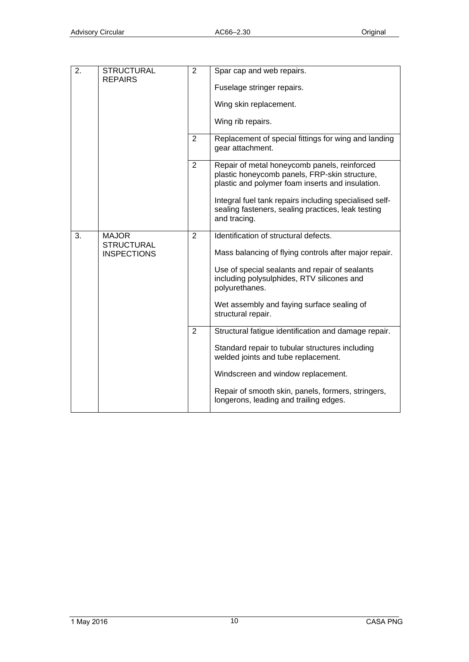| 2. | <b>STRUCTURAL</b><br><b>REPAIRS</b>                     | $\overline{2}$ | Spar cap and web repairs.<br>Fuselage stringer repairs.<br>Wing skin replacement.<br>Wing rib repairs.                                                                                                                                                                               |
|----|---------------------------------------------------------|----------------|--------------------------------------------------------------------------------------------------------------------------------------------------------------------------------------------------------------------------------------------------------------------------------------|
|    |                                                         | 2              | Replacement of special fittings for wing and landing<br>gear attachment.                                                                                                                                                                                                             |
|    |                                                         | $\overline{2}$ | Repair of metal honeycomb panels, reinforced<br>plastic honeycomb panels, FRP-skin structure,<br>plastic and polymer foam inserts and insulation.<br>Integral fuel tank repairs including specialised self-<br>sealing fasteners, sealing practices, leak testing<br>and tracing.    |
| 3. | <b>MAJOR</b><br><b>STRUCTURAL</b><br><b>INSPECTIONS</b> | $\overline{2}$ | Identification of structural defects.<br>Mass balancing of flying controls after major repair.<br>Use of special sealants and repair of sealants<br>including polysulphides, RTV silicones and<br>polyurethanes.<br>Wet assembly and faying surface sealing of<br>structural repair. |
|    |                                                         | $\overline{2}$ | Structural fatigue identification and damage repair.<br>Standard repair to tubular structures including<br>welded joints and tube replacement.<br>Windscreen and window replacement.<br>Repair of smooth skin, panels, formers, stringers,<br>longerons, leading and trailing edges. |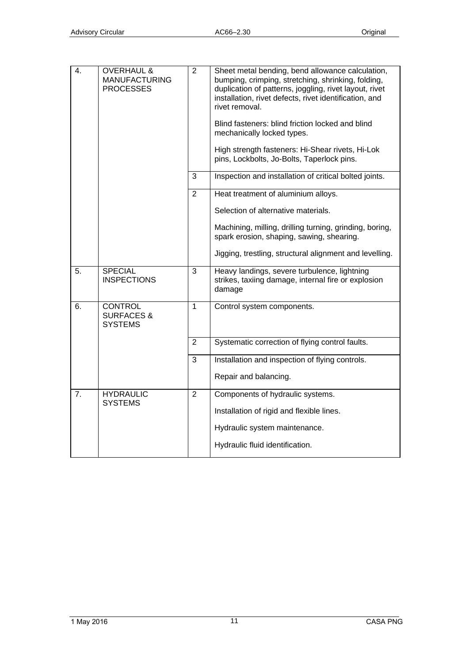| 4. | <b>OVERHAUL &amp;</b><br><b>MANUFACTURING</b><br><b>PROCESSES</b> | $\overline{2}$ | Sheet metal bending, bend allowance calculation,<br>bumping, crimping, stretching, shrinking, folding,<br>duplication of patterns, joggling, rivet layout, rivet<br>installation, rivet defects, rivet identification, and<br>rivet removal.<br>Blind fasteners: blind friction locked and blind<br>mechanically locked types.<br>High strength fasteners: Hi-Shear rivets, Hi-Lok<br>pins, Lockbolts, Jo-Bolts, Taperlock pins. |
|----|-------------------------------------------------------------------|----------------|----------------------------------------------------------------------------------------------------------------------------------------------------------------------------------------------------------------------------------------------------------------------------------------------------------------------------------------------------------------------------------------------------------------------------------|
|    |                                                                   | 3              | Inspection and installation of critical bolted joints.                                                                                                                                                                                                                                                                                                                                                                           |
|    |                                                                   | $\overline{2}$ | Heat treatment of aluminium alloys.                                                                                                                                                                                                                                                                                                                                                                                              |
|    |                                                                   |                | Selection of alternative materials.                                                                                                                                                                                                                                                                                                                                                                                              |
|    |                                                                   |                | Machining, milling, drilling turning, grinding, boring,<br>spark erosion, shaping, sawing, shearing.                                                                                                                                                                                                                                                                                                                             |
|    |                                                                   |                | Jigging, trestling, structural alignment and levelling.                                                                                                                                                                                                                                                                                                                                                                          |
| 5. | <b>SPECIAL</b><br><b>INSPECTIONS</b>                              | 3              | Heavy landings, severe turbulence, lightning<br>strikes, taxiing damage, internal fire or explosion<br>damage                                                                                                                                                                                                                                                                                                                    |
| 6. | <b>CONTROL</b><br><b>SURFACES &amp;</b><br><b>SYSTEMS</b>         | $\mathbf{1}$   | Control system components.                                                                                                                                                                                                                                                                                                                                                                                                       |
|    |                                                                   | $\overline{2}$ | Systematic correction of flying control faults.                                                                                                                                                                                                                                                                                                                                                                                  |
|    |                                                                   | 3              | Installation and inspection of flying controls.                                                                                                                                                                                                                                                                                                                                                                                  |
|    |                                                                   |                | Repair and balancing.                                                                                                                                                                                                                                                                                                                                                                                                            |
| 7. | <b>HYDRAULIC</b><br><b>SYSTEMS</b>                                | $\overline{2}$ | Components of hydraulic systems.                                                                                                                                                                                                                                                                                                                                                                                                 |
|    |                                                                   |                | Installation of rigid and flexible lines.                                                                                                                                                                                                                                                                                                                                                                                        |
|    |                                                                   |                | Hydraulic system maintenance.                                                                                                                                                                                                                                                                                                                                                                                                    |
|    |                                                                   |                | Hydraulic fluid identification.                                                                                                                                                                                                                                                                                                                                                                                                  |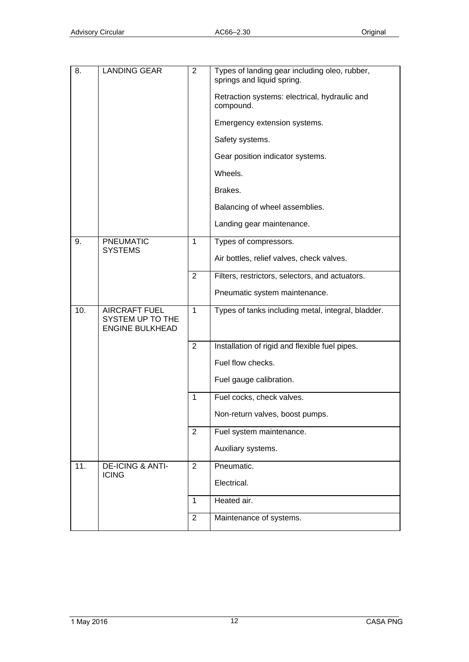| 8.                | <b>LANDING GEAR</b>                                                | $\overline{2}$ | Types of landing gear including oleo, rubber,<br>springs and liquid spring. |
|-------------------|--------------------------------------------------------------------|----------------|-----------------------------------------------------------------------------|
|                   |                                                                    |                | Retraction systems: electrical, hydraulic and<br>compound.                  |
|                   |                                                                    |                | Emergency extension systems.                                                |
|                   |                                                                    |                | Safety systems.                                                             |
|                   |                                                                    |                | Gear position indicator systems.                                            |
|                   |                                                                    |                | Wheels.                                                                     |
|                   |                                                                    |                | Brakes.                                                                     |
|                   |                                                                    |                | Balancing of wheel assemblies.                                              |
|                   |                                                                    |                | Landing gear maintenance.                                                   |
| 9.                | <b>PNEUMATIC</b><br><b>SYSTEMS</b>                                 | $\mathbf{1}$   | Types of compressors.                                                       |
|                   |                                                                    |                | Air bottles, relief valves, check valves.                                   |
|                   |                                                                    | $\overline{2}$ | Filters, restrictors, selectors, and actuators.                             |
|                   |                                                                    |                | Pneumatic system maintenance.                                               |
| 10.               | <b>AIRCRAFT FUEL</b><br>SYSTEM UP TO THE<br><b>ENGINE BULKHEAD</b> | $\mathbf{1}$   | Types of tanks including metal, integral, bladder.                          |
|                   |                                                                    |                |                                                                             |
|                   |                                                                    | $\overline{2}$ | Installation of rigid and flexible fuel pipes.                              |
|                   |                                                                    |                | Fuel flow checks.                                                           |
|                   |                                                                    |                | Fuel gauge calibration.                                                     |
|                   |                                                                    | 1              | Fuel cocks, check valves.                                                   |
|                   |                                                                    |                | Non-return valves, boost pumps.                                             |
|                   |                                                                    | $\overline{2}$ | Fuel system maintenance.                                                    |
|                   |                                                                    |                | Auxiliary systems.                                                          |
| $\overline{11}$ . | <b>DE-ICING &amp; ANTI-</b>                                        | $\overline{2}$ | Pneumatic.                                                                  |
|                   | <b>ICING</b>                                                       |                | Electrical.                                                                 |
|                   |                                                                    | $\mathbf{1}$   | Heated air.                                                                 |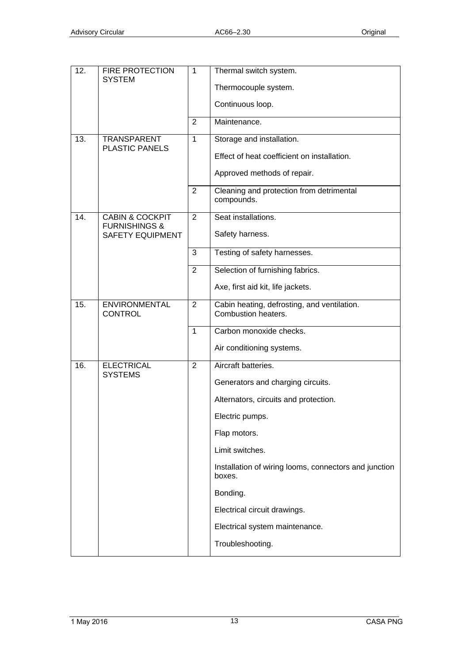| 12. | <b>FIRE PROTECTION</b><br><b>SYSTEM</b>                | $\mathbf 1$    | Thermal switch system.                                             |
|-----|--------------------------------------------------------|----------------|--------------------------------------------------------------------|
|     |                                                        |                | Thermocouple system.                                               |
|     |                                                        |                | Continuous loop.                                                   |
|     |                                                        | 2              | Maintenance.                                                       |
| 13. | <b>TRANSPARENT</b><br><b>PLASTIC PANELS</b>            | $\mathbf{1}$   | Storage and installation.                                          |
|     |                                                        |                | Effect of heat coefficient on installation.                        |
|     |                                                        |                | Approved methods of repair.                                        |
|     |                                                        | 2              | Cleaning and protection from detrimental<br>compounds.             |
| 14. | <b>CABIN &amp; COCKPIT</b><br><b>FURNISHINGS &amp;</b> | $\overline{2}$ | Seat installations.                                                |
|     | <b>SAFETY EQUIPMENT</b>                                |                | Safety harness.                                                    |
|     |                                                        | 3              | Testing of safety harnesses.                                       |
|     |                                                        | 2              | Selection of furnishing fabrics.                                   |
|     |                                                        |                | Axe, first aid kit, life jackets.                                  |
| 15. | <b>ENVIRONMENTAL</b><br><b>CONTROL</b>                 | $\overline{2}$ | Cabin heating, defrosting, and ventilation.<br>Combustion heaters. |
|     |                                                        | $\mathbf 1$    | Carbon monoxide checks.                                            |
|     |                                                        |                | Air conditioning systems.                                          |
| 16. | <b>ELECTRICAL</b><br><b>SYSTEMS</b>                    | $\overline{2}$ | Aircraft batteries.                                                |
|     |                                                        |                | Generators and charging circuits.                                  |
|     |                                                        |                | Alternators, circuits and protection.                              |
|     |                                                        |                | Electric pumps.                                                    |
|     |                                                        |                | Flap motors.                                                       |
|     |                                                        |                | Limit switches.                                                    |
|     |                                                        |                | Installation of wiring looms, connectors and junction<br>boxes.    |
|     |                                                        |                | Bonding.                                                           |
|     |                                                        |                | Electrical circuit drawings.                                       |
|     |                                                        |                | Electrical system maintenance.                                     |
|     |                                                        |                | Troubleshooting.                                                   |
|     |                                                        |                |                                                                    |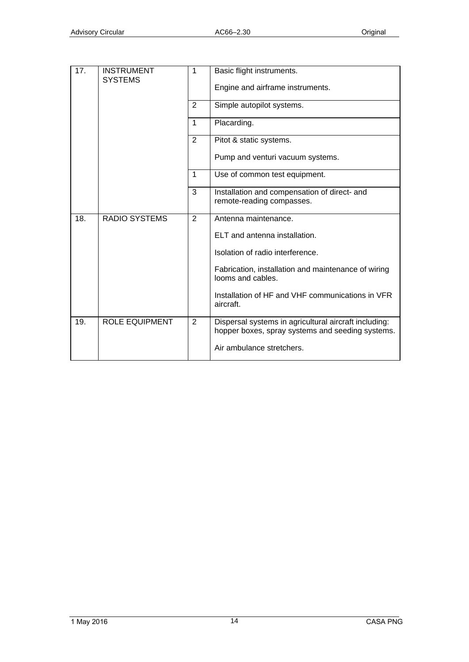| 17. | <b>INSTRUMENT</b><br><b>SYSTEMS</b> | 1              | Basic flight instruments.                                                                                 |
|-----|-------------------------------------|----------------|-----------------------------------------------------------------------------------------------------------|
|     |                                     |                | Engine and airframe instruments.                                                                          |
|     |                                     | $\overline{2}$ | Simple autopilot systems.                                                                                 |
|     |                                     | $\mathbf{1}$   | Placarding.                                                                                               |
|     |                                     | 2              | Pitot & static systems.                                                                                   |
|     |                                     |                | Pump and venturi vacuum systems.                                                                          |
|     |                                     | 1              | Use of common test equipment.                                                                             |
|     |                                     | 3              | Installation and compensation of direct- and<br>remote-reading compasses.                                 |
| 18. | <b>RADIO SYSTEMS</b>                | 2              | Antenna maintenance.                                                                                      |
|     |                                     |                | ELT and antenna installation.                                                                             |
|     |                                     |                | Isolation of radio interference.                                                                          |
|     |                                     |                | Fabrication, installation and maintenance of wiring<br>looms and cables.                                  |
|     |                                     |                | Installation of HF and VHF communications in VFR<br>aircraft.                                             |
| 19. | <b>ROLE EQUIPMENT</b>               | $\overline{2}$ | Dispersal systems in agricultural aircraft including:<br>hopper boxes, spray systems and seeding systems. |
|     |                                     |                | Air ambulance stretchers.                                                                                 |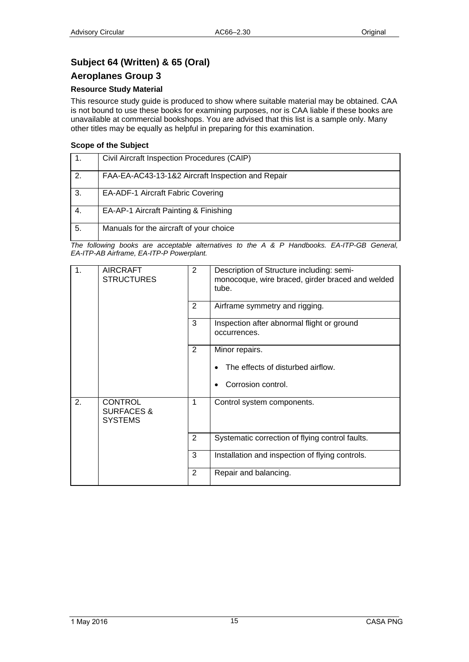## <span id="page-14-1"></span><span id="page-14-0"></span>**Subject 64 (Written) & 65 (Oral)**

### <span id="page-14-2"></span>**Aeroplanes Group 3**

### **Resource Study Material**

This resource study guide is produced to show where suitable material may be obtained. CAA is not bound to use these books for examining purposes, nor is CAA liable if these books are unavailable at commercial bookshops. You are advised that this list is a sample only. Many other titles may be equally as helpful in preparing for this examination.

### **Scope of the Subject**

|    | Civil Aircraft Inspection Procedures (CAIP)       |
|----|---------------------------------------------------|
| 2. | FAA-EA-AC43-13-1&2 Aircraft Inspection and Repair |
| 3. | EA-ADF-1 Aircraft Fabric Covering                 |
| 4. | EA-AP-1 Aircraft Painting & Finishing             |
| 5. | Manuals for the aircraft of your choice           |

| 1. | <b>AIRCRAFT</b><br><b>STRUCTURES</b>                      | $\overline{2}$ | Description of Structure including: semi-<br>monocoque, wire braced, girder braced and welded<br>tube. |
|----|-----------------------------------------------------------|----------------|--------------------------------------------------------------------------------------------------------|
|    |                                                           | 2              | Airframe symmetry and rigging.                                                                         |
|    |                                                           | 3              | Inspection after abnormal flight or ground<br>occurrences.                                             |
|    |                                                           | $\overline{2}$ | Minor repairs.                                                                                         |
|    |                                                           |                | The effects of disturbed airflow.                                                                      |
|    |                                                           |                | Corrosion control.                                                                                     |
| 2. | <b>CONTROL</b><br><b>SURFACES &amp;</b><br><b>SYSTEMS</b> | 1              | Control system components.                                                                             |
|    |                                                           | 2              | Systematic correction of flying control faults.                                                        |
|    |                                                           | 3              | Installation and inspection of flying controls.                                                        |
|    |                                                           | 2              | Repair and balancing.                                                                                  |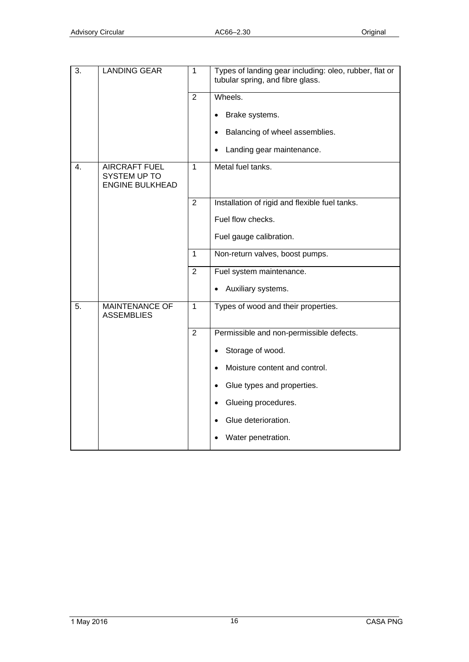| $\overline{3}$ . | <b>LANDING GEAR</b>                                            | $\overline{1}$ | Types of landing gear including: oleo, rubber, flat or<br>tubular spring, and fibre glass. |
|------------------|----------------------------------------------------------------|----------------|--------------------------------------------------------------------------------------------|
|                  |                                                                | $\overline{2}$ | Wheels.                                                                                    |
|                  |                                                                |                | Brake systems.                                                                             |
|                  |                                                                |                | Balancing of wheel assemblies.                                                             |
|                  |                                                                |                | Landing gear maintenance.                                                                  |
| $\overline{4}$ . | <b>AIRCRAFT FUEL</b><br>SYSTEM UP TO<br><b>ENGINE BULKHEAD</b> | $\mathbf{1}$   | Metal fuel tanks.                                                                          |
|                  |                                                                | $\overline{2}$ | Installation of rigid and flexible fuel tanks.                                             |
|                  |                                                                |                | Fuel flow checks.                                                                          |
|                  |                                                                |                | Fuel gauge calibration.                                                                    |
|                  |                                                                | $\mathbf{1}$   | Non-return valves, boost pumps.                                                            |
|                  |                                                                | $\overline{2}$ | Fuel system maintenance.                                                                   |
|                  |                                                                |                | Auxiliary systems.                                                                         |
| 5.               | <b>MAINTENANCE OF</b><br><b>ASSEMBLIES</b>                     | $\mathbf 1$    | Types of wood and their properties.                                                        |
|                  |                                                                | $\overline{2}$ | Permissible and non-permissible defects.                                                   |
|                  |                                                                |                | Storage of wood.                                                                           |
|                  |                                                                |                | Moisture content and control.                                                              |
|                  |                                                                |                | Glue types and properties.                                                                 |
|                  |                                                                |                | Glueing procedures.                                                                        |
|                  |                                                                |                | Glue deterioration.                                                                        |
|                  |                                                                |                | Water penetration.                                                                         |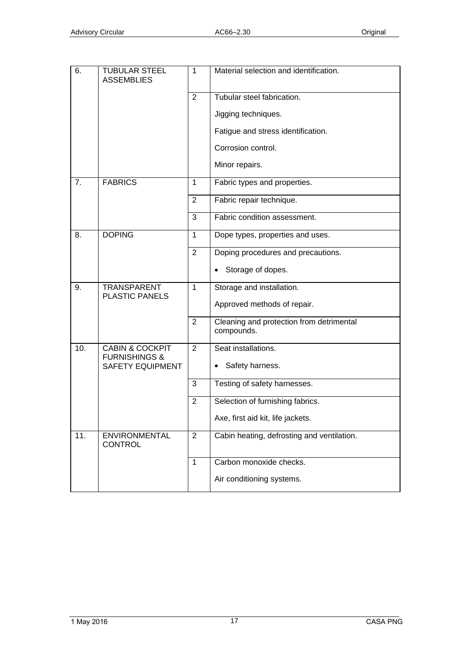| 6.  | <b>TUBULAR STEEL</b><br><b>ASSEMBLIES</b>              | 1              | Material selection and identification.                 |
|-----|--------------------------------------------------------|----------------|--------------------------------------------------------|
|     |                                                        | $\overline{2}$ | Tubular steel fabrication.                             |
|     |                                                        |                | Jigging techniques.                                    |
|     |                                                        |                | Fatigue and stress identification.                     |
|     |                                                        |                | Corrosion control.                                     |
|     |                                                        |                | Minor repairs.                                         |
| 7.  | <b>FABRICS</b>                                         | 1              | Fabric types and properties.                           |
|     |                                                        | $\overline{2}$ | Fabric repair technique.                               |
|     |                                                        | $\mathbf{3}$   | Fabric condition assessment.                           |
| 8.  | <b>DOPING</b>                                          | $\mathbf{1}$   | Dope types, properties and uses.                       |
|     |                                                        | $\overline{2}$ | Doping procedures and precautions.                     |
|     |                                                        |                | Storage of dopes.                                      |
| 9.  | TRANSPARENT<br><b>PLASTIC PANELS</b>                   | 1              | Storage and installation.                              |
|     |                                                        |                | Approved methods of repair.                            |
|     |                                                        | $\overline{2}$ | Cleaning and protection from detrimental<br>compounds. |
| 10. | <b>CABIN &amp; COCKPIT</b><br><b>FURNISHINGS &amp;</b> | $\overline{2}$ | Seat installations.                                    |
|     | <b>SAFETY EQUIPMENT</b>                                |                | Safety harness.                                        |
|     |                                                        | 3              | Testing of safety harnesses.                           |
|     |                                                        | $\overline{2}$ | Selection of furnishing fabrics.                       |
|     |                                                        |                | Axe, first aid kit, life jackets.                      |
| 11. | <b>ENVIRONMENTAL</b><br><b>CONTROL</b>                 | 2              | Cabin heating, defrosting and ventilation.             |
|     |                                                        | $\mathbf{1}$   | Carbon monoxide checks.                                |
|     |                                                        |                | Air conditioning systems.                              |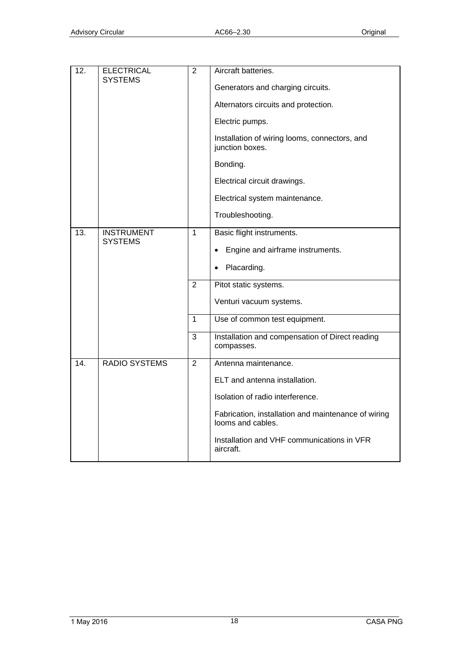| 12. | <b>ELECTRICAL</b><br><b>SYSTEMS</b> | $\overline{2}$                                     | Aircraft batteries.<br>Generators and charging circuits.<br>Alternators circuits and protection.<br>Electric pumps.<br>Installation of wiring looms, connectors, and<br>junction boxes.<br>Bonding.<br>Electrical circuit drawings.<br>Electrical system maintenance.<br>Troubleshooting. |
|-----|-------------------------------------|----------------------------------------------------|-------------------------------------------------------------------------------------------------------------------------------------------------------------------------------------------------------------------------------------------------------------------------------------------|
| 13. | <b>INSTRUMENT</b><br><b>SYSTEMS</b> | $\overline{1}$<br>$\overline{2}$<br>$\overline{1}$ | Basic flight instruments.<br>Engine and airframe instruments.<br>٠<br>Placarding.<br>Pitot static systems.<br>Venturi vacuum systems.<br>Use of common test equipment.                                                                                                                    |
|     |                                     | 3                                                  | Installation and compensation of Direct reading<br>compasses.                                                                                                                                                                                                                             |
| 14. | <b>RADIO SYSTEMS</b>                | $\overline{2}$                                     | Antenna maintenance.<br>ELT and antenna installation.<br>Isolation of radio interference.<br>Fabrication, installation and maintenance of wiring<br>looms and cables.<br>Installation and VHF communications in VFR<br>aircraft.                                                          |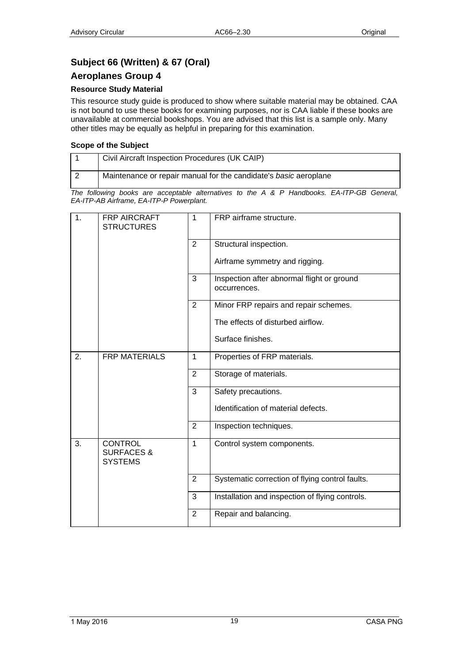## <span id="page-18-1"></span><span id="page-18-0"></span>**Subject 66 (Written) & 67 (Oral)**

### <span id="page-18-2"></span>**Aeroplanes Group 4**

### **Resource Study Material**

This resource study guide is produced to show where suitable material may be obtained. CAA is not bound to use these books for examining purposes, nor is CAA liable if these books are unavailable at commercial bookshops. You are advised that this list is a sample only. Many other titles may be equally as helpful in preparing for this examination.

### **Scope of the Subject**

| Civil Aircraft Inspection Procedures (UK CAIP)                   |
|------------------------------------------------------------------|
| Maintenance or repair manual for the candidate's basic aeroplane |

| 1. | FRP AIRCRAFT<br><b>STRUCTURES</b>                         | $\mathbf{1}$   | FRP airframe structure.                                    |
|----|-----------------------------------------------------------|----------------|------------------------------------------------------------|
|    |                                                           | $\overline{2}$ | Structural inspection.                                     |
|    |                                                           |                | Airframe symmetry and rigging.                             |
|    |                                                           | 3              | Inspection after abnormal flight or ground<br>occurrences. |
|    |                                                           | $\overline{2}$ | Minor FRP repairs and repair schemes.                      |
|    |                                                           |                | The effects of disturbed airflow.                          |
|    |                                                           |                | Surface finishes.                                          |
| 2. | <b>FRP MATERIALS</b>                                      | $\mathbf{1}$   | Properties of FRP materials.                               |
|    |                                                           | 2              | Storage of materials.                                      |
|    |                                                           | 3              | Safety precautions.                                        |
|    |                                                           |                | Identification of material defects.                        |
|    |                                                           | $\overline{2}$ | Inspection techniques.                                     |
| 3. | <b>CONTROL</b><br><b>SURFACES &amp;</b><br><b>SYSTEMS</b> | $\overline{1}$ | Control system components.                                 |
|    |                                                           | 2              | Systematic correction of flying control faults.            |
|    |                                                           | 3              | Installation and inspection of flying controls.            |
|    |                                                           | $\overline{2}$ | Repair and balancing.                                      |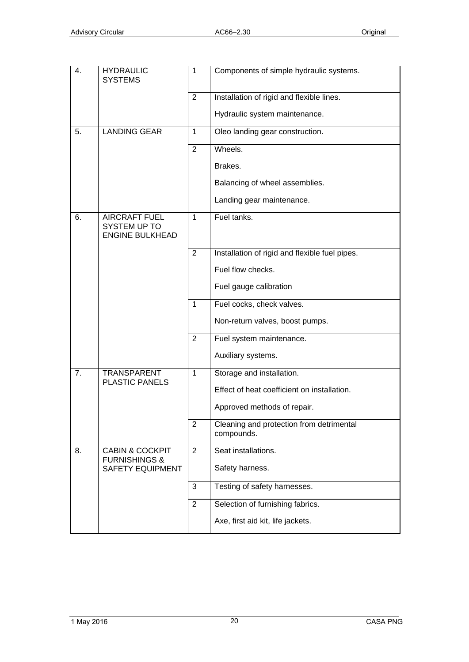| 4.             | <b>HYDRAULIC</b><br><b>SYSTEMS</b>                             | $\mathbf{1}$   | Components of simple hydraulic systems.                |
|----------------|----------------------------------------------------------------|----------------|--------------------------------------------------------|
|                |                                                                | 2              | Installation of rigid and flexible lines.              |
|                |                                                                |                | Hydraulic system maintenance.                          |
| 5.             | <b>LANDING GEAR</b>                                            | $\mathbf{1}$   | Oleo landing gear construction.                        |
|                |                                                                | $\overline{2}$ | Wheels.                                                |
|                |                                                                |                | Brakes.                                                |
|                |                                                                |                | Balancing of wheel assemblies.                         |
|                |                                                                |                | Landing gear maintenance.                              |
| 6.             | <b>AIRCRAFT FUEL</b><br>SYSTEM UP TO<br><b>ENGINE BULKHEAD</b> | $\mathbf{1}$   | Fuel tanks.                                            |
|                |                                                                | $\overline{2}$ | Installation of rigid and flexible fuel pipes.         |
|                |                                                                |                | Fuel flow checks.                                      |
|                |                                                                |                | Fuel gauge calibration                                 |
|                |                                                                | $\mathbf{1}$   | Fuel cocks, check valves.                              |
|                |                                                                |                | Non-return valves, boost pumps.                        |
|                |                                                                | 2              | Fuel system maintenance.                               |
|                |                                                                |                | Auxiliary systems.                                     |
| 7 <sub>1</sub> | <b>TRANSPARENT</b><br><b>PLASTIC PANELS</b>                    | $\mathbf{1}$   | Storage and installation.                              |
|                |                                                                |                | Effect of heat coefficient on installation.            |
|                |                                                                |                | Approved methods of repair.                            |
|                |                                                                | $\overline{2}$ | Cleaning and protection from detrimental<br>compounds. |
| 8.             | <b>CABIN &amp; COCKPIT</b><br><b>FURNISHINGS &amp;</b>         | 2              | Seat installations.                                    |
|                | <b>SAFETY EQUIPMENT</b>                                        |                | Safety harness.                                        |
|                |                                                                | 3              | Testing of safety harnesses.                           |
|                |                                                                | $\overline{2}$ | Selection of furnishing fabrics.                       |
|                |                                                                |                | Axe, first aid kit, life jackets.                      |
|                |                                                                |                |                                                        |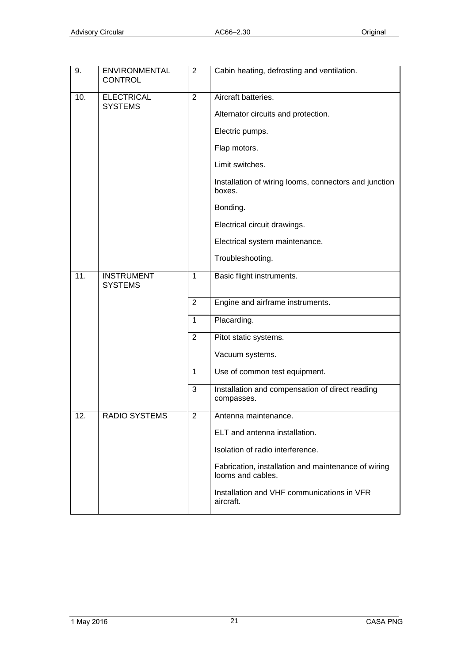| 9.  | <b>ENVIRONMENTAL</b><br><b>CONTROL</b> | $\overline{2}$          | Cabin heating, defrosting and ventilation.                               |
|-----|----------------------------------------|-------------------------|--------------------------------------------------------------------------|
| 10. | <b>ELECTRICAL</b><br><b>SYSTEMS</b>    | $\overline{2}$          | Aircraft batteries.                                                      |
|     |                                        |                         | Alternator circuits and protection.                                      |
|     |                                        |                         | Electric pumps.                                                          |
|     |                                        |                         | Flap motors.                                                             |
|     |                                        |                         | Limit switches.                                                          |
|     |                                        |                         | Installation of wiring looms, connectors and junction<br>boxes.          |
|     |                                        |                         | Bonding.                                                                 |
|     |                                        |                         | Electrical circuit drawings.                                             |
|     |                                        |                         | Electrical system maintenance.                                           |
|     |                                        |                         | Troubleshooting.                                                         |
| 11. | <b>INSTRUMENT</b><br><b>SYSTEMS</b>    | $\mathbf{1}$            | Basic flight instruments.                                                |
|     |                                        | $\overline{2}$          | Engine and airframe instruments.                                         |
|     |                                        | $\mathbf{1}$            | Placarding.                                                              |
|     |                                        | 2                       | Pitot static systems.                                                    |
|     |                                        |                         | Vacuum systems.                                                          |
|     |                                        | $\mathbf 1$             | Use of common test equipment.                                            |
|     |                                        | 3                       | Installation and compensation of direct reading<br>compasses.            |
| 12. | RADIO SYSTEMS                          | $\overline{\mathbf{c}}$ | Antenna maintenance.                                                     |
|     |                                        |                         | ELT and antenna installation.                                            |
|     |                                        |                         | Isolation of radio interference.                                         |
|     |                                        |                         | Fabrication, installation and maintenance of wiring<br>looms and cables. |
|     |                                        |                         | Installation and VHF communications in VFR<br>aircraft.                  |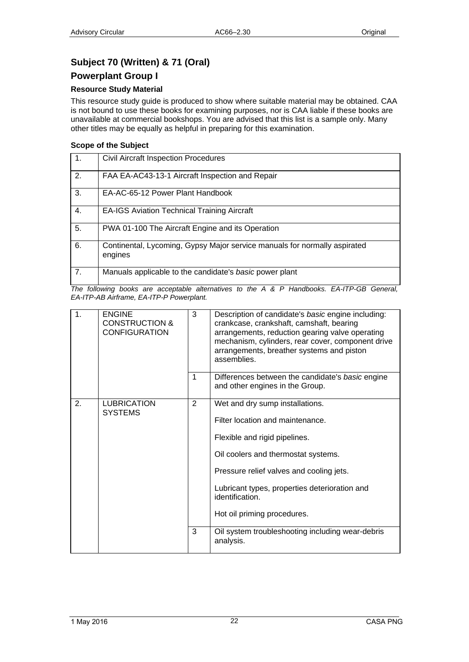## <span id="page-21-1"></span><span id="page-21-0"></span>**Subject 70 (Written) & 71 (Oral)**

### <span id="page-21-2"></span>**Powerplant Group I**

### **Resource Study Material**

This resource study guide is produced to show where suitable material may be obtained. CAA is not bound to use these books for examining purposes, nor is CAA liable if these books are unavailable at commercial bookshops. You are advised that this list is a sample only. Many other titles may be equally as helpful in preparing for this examination.

### **Scope of the Subject**

| $\overline{1}$ . | <b>Civil Aircraft Inspection Procedures</b>                                          |
|------------------|--------------------------------------------------------------------------------------|
| 2.               | FAA EA-AC43-13-1 Aircraft Inspection and Repair                                      |
| 3.               | EA-AC-65-12 Power Plant Handbook                                                     |
| 4.               | <b>EA-IGS Aviation Technical Training Aircraft</b>                                   |
| 5.               | PWA 01-100 The Aircraft Engine and its Operation                                     |
| 6.               | Continental, Lycoming, Gypsy Major service manuals for normally aspirated<br>engines |
| 7.               | Manuals applicable to the candidate's basic power plant                              |

| $\mathbf 1$ . | <b>ENGINE</b><br><b>CONSTRUCTION &amp;</b><br><b>CONFIGURATION</b> | 3              | Description of candidate's basic engine including:<br>crankcase, crankshaft, camshaft, bearing<br>arrangements, reduction gearing valve operating<br>mechanism, cylinders, rear cover, component drive<br>arrangements, breather systems and piston<br>assemblies.                         |
|---------------|--------------------------------------------------------------------|----------------|--------------------------------------------------------------------------------------------------------------------------------------------------------------------------------------------------------------------------------------------------------------------------------------------|
|               |                                                                    | 1              | Differences between the candidate's basic engine<br>and other engines in the Group.                                                                                                                                                                                                        |
| 2.            | <b>LUBRICATION</b><br><b>SYSTEMS</b>                               | $\overline{2}$ | Wet and dry sump installations.<br>Filter location and maintenance.<br>Flexible and rigid pipelines.<br>Oil coolers and thermostat systems.<br>Pressure relief valves and cooling jets.<br>Lubricant types, properties deterioration and<br>identification.<br>Hot oil priming procedures. |
|               |                                                                    | 3              | Oil system troubleshooting including wear-debris<br>analysis.                                                                                                                                                                                                                              |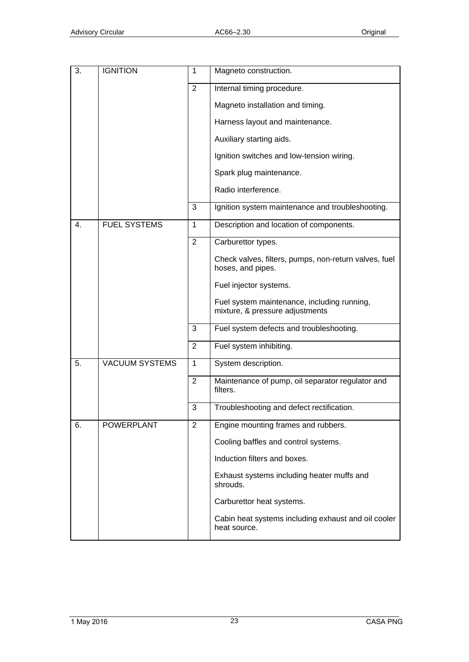| 3. | <b>IGNITION</b>       | 1              | Magneto construction.                                                          |
|----|-----------------------|----------------|--------------------------------------------------------------------------------|
|    |                       | 2              | Internal timing procedure.                                                     |
|    |                       |                | Magneto installation and timing.                                               |
|    |                       |                | Harness layout and maintenance.                                                |
|    |                       |                | Auxiliary starting aids.                                                       |
|    |                       |                | Ignition switches and low-tension wiring.                                      |
|    |                       |                | Spark plug maintenance.                                                        |
|    |                       |                | Radio interference.                                                            |
|    |                       | 3              | Ignition system maintenance and troubleshooting.                               |
| 4. | <b>FUEL SYSTEMS</b>   | 1              | Description and location of components.                                        |
|    |                       | $\overline{2}$ | Carburettor types.                                                             |
|    |                       |                | Check valves, filters, pumps, non-return valves, fuel<br>hoses, and pipes.     |
|    |                       |                | Fuel injector systems.                                                         |
|    |                       |                | Fuel system maintenance, including running,<br>mixture, & pressure adjustments |
|    |                       | 3              | Fuel system defects and troubleshooting.                                       |
|    |                       | $\overline{2}$ | Fuel system inhibiting.                                                        |
| 5. | <b>VACUUM SYSTEMS</b> | $\mathbf{1}$   | System description.                                                            |
|    |                       | 2              | Maintenance of pump, oil separator regulator and<br>filters.                   |
|    |                       | 3              | Troubleshooting and defect rectification.                                      |
| 6. | <b>POWERPLANT</b>     | $\overline{2}$ | Engine mounting frames and rubbers.                                            |
|    |                       |                | Cooling baffles and control systems.                                           |
|    |                       |                | Induction filters and boxes.                                                   |
|    |                       |                | Exhaust systems including heater muffs and<br>shrouds.                         |
|    |                       |                | Carburettor heat systems.                                                      |
|    |                       |                | Cabin heat systems including exhaust and oil cooler<br>heat source.            |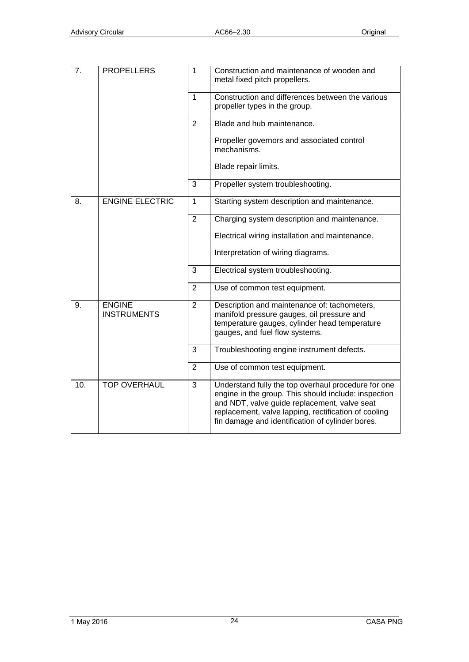| 7.  | <b>PROPELLERS</b>                   | $\mathbf{1}$   | Construction and maintenance of wooden and<br>metal fixed pitch propellers.                                                                                                                                                                                             |
|-----|-------------------------------------|----------------|-------------------------------------------------------------------------------------------------------------------------------------------------------------------------------------------------------------------------------------------------------------------------|
|     |                                     | 1              | Construction and differences between the various<br>propeller types in the group.                                                                                                                                                                                       |
|     |                                     | 2              | Blade and hub maintenance.                                                                                                                                                                                                                                              |
|     |                                     |                | Propeller governors and associated control<br>mechanisms.                                                                                                                                                                                                               |
|     |                                     |                | Blade repair limits.                                                                                                                                                                                                                                                    |
|     |                                     | 3              | Propeller system troubleshooting.                                                                                                                                                                                                                                       |
| 8.  | <b>ENGINE ELECTRIC</b>              | $\mathbf{1}$   | Starting system description and maintenance.                                                                                                                                                                                                                            |
|     |                                     | $\overline{2}$ | Charging system description and maintenance.                                                                                                                                                                                                                            |
|     |                                     |                | Electrical wiring installation and maintenance.                                                                                                                                                                                                                         |
|     |                                     |                | Interpretation of wiring diagrams.                                                                                                                                                                                                                                      |
|     |                                     | 3              | Electrical system troubleshooting.                                                                                                                                                                                                                                      |
|     |                                     | $\overline{2}$ | Use of common test equipment.                                                                                                                                                                                                                                           |
| 9.  | <b>ENGINE</b><br><b>INSTRUMENTS</b> | $\overline{2}$ | Description and maintenance of: tachometers,<br>manifold pressure gauges, oil pressure and<br>temperature gauges, cylinder head temperature<br>gauges, and fuel flow systems.                                                                                           |
|     |                                     | 3              | Troubleshooting engine instrument defects.                                                                                                                                                                                                                              |
|     |                                     | $\overline{2}$ | Use of common test equipment.                                                                                                                                                                                                                                           |
| 10. | <b>TOP OVERHAUL</b>                 | 3              | Understand fully the top overhaul procedure for one<br>engine in the group. This should include: inspection<br>and NDT, valve guide replacement, valve seat<br>replacement, valve lapping, rectification of cooling<br>fin damage and identification of cylinder bores. |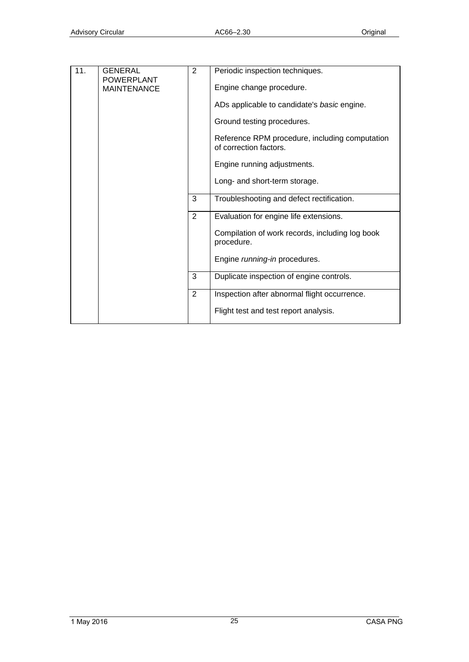| 11. | <b>GENERAL</b>                          | $\overline{2}$ | Periodic inspection techniques.                                          |
|-----|-----------------------------------------|----------------|--------------------------------------------------------------------------|
|     | <b>POWERPLANT</b><br><b>MAINTENANCE</b> |                | Engine change procedure.                                                 |
|     |                                         |                | ADs applicable to candidate's basic engine.                              |
|     |                                         |                | Ground testing procedures.                                               |
|     |                                         |                | Reference RPM procedure, including computation<br>of correction factors. |
|     |                                         |                | Engine running adjustments.                                              |
|     |                                         |                | Long- and short-term storage.                                            |
|     |                                         | 3              | Troubleshooting and defect rectification.                                |
|     |                                         | $\overline{2}$ | Evaluation for engine life extensions.                                   |
|     |                                         |                | Compilation of work records, including log book<br>procedure.            |
|     |                                         |                | Engine running-in procedures.                                            |
|     |                                         | 3              | Duplicate inspection of engine controls.                                 |
|     |                                         | 2              | Inspection after abnormal flight occurrence.                             |
|     |                                         |                | Flight test and test report analysis.                                    |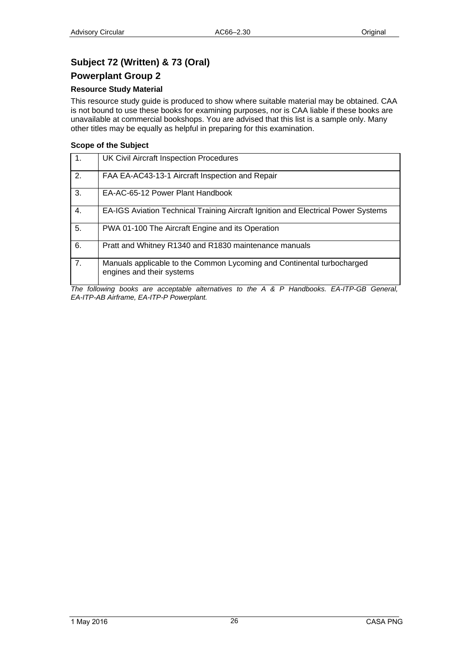## <span id="page-25-1"></span><span id="page-25-0"></span>**Subject 72 (Written) & 73 (Oral)**

### <span id="page-25-2"></span>**Powerplant Group 2**

### **Resource Study Material**

This resource study guide is produced to show where suitable material may be obtained. CAA is not bound to use these books for examining purposes, nor is CAA liable if these books are unavailable at commercial bookshops. You are advised that this list is a sample only. Many other titles may be equally as helpful in preparing for this examination.

### **Scope of the Subject**

| $\overline{1}$ . | <b>UK Civil Aircraft Inspection Procedures</b>                                                      |
|------------------|-----------------------------------------------------------------------------------------------------|
| 2.               | FAA EA-AC43-13-1 Aircraft Inspection and Repair                                                     |
| 3.               | EA-AC-65-12 Power Plant Handbook                                                                    |
| 4.               | EA-IGS Aviation Technical Training Aircraft Ignition and Electrical Power Systems                   |
| 5.               | PWA 01-100 The Aircraft Engine and its Operation                                                    |
| 6.               | Pratt and Whitney R1340 and R1830 maintenance manuals                                               |
| 7.               | Manuals applicable to the Common Lycoming and Continental turbocharged<br>engines and their systems |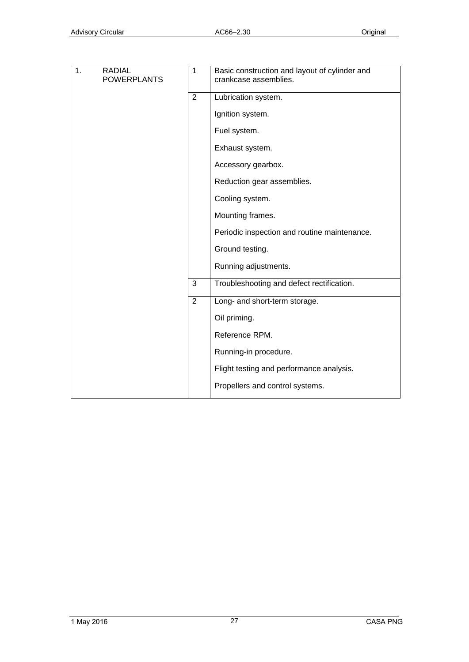| 1.<br><b>RADIAL</b><br><b>POWERPLANTS</b> | $\mathbf{1}$   | Basic construction and layout of cylinder and<br>crankcase assemblies. |
|-------------------------------------------|----------------|------------------------------------------------------------------------|
|                                           |                |                                                                        |
|                                           | $\overline{2}$ | Lubrication system.                                                    |
|                                           |                | Ignition system.                                                       |
|                                           |                | Fuel system.                                                           |
|                                           |                | Exhaust system.                                                        |
|                                           |                | Accessory gearbox.                                                     |
|                                           |                | Reduction gear assemblies.                                             |
|                                           |                | Cooling system.                                                        |
|                                           |                | Mounting frames.                                                       |
|                                           |                | Periodic inspection and routine maintenance.                           |
|                                           |                | Ground testing.                                                        |
|                                           |                | Running adjustments.                                                   |
|                                           | $\mathbf{3}$   | Troubleshooting and defect rectification.                              |
|                                           | $\overline{2}$ | Long- and short-term storage.                                          |
|                                           |                | Oil priming.                                                           |
|                                           |                | Reference RPM.                                                         |
|                                           |                | Running-in procedure.                                                  |
|                                           |                | Flight testing and performance analysis.                               |
|                                           |                | Propellers and control systems.                                        |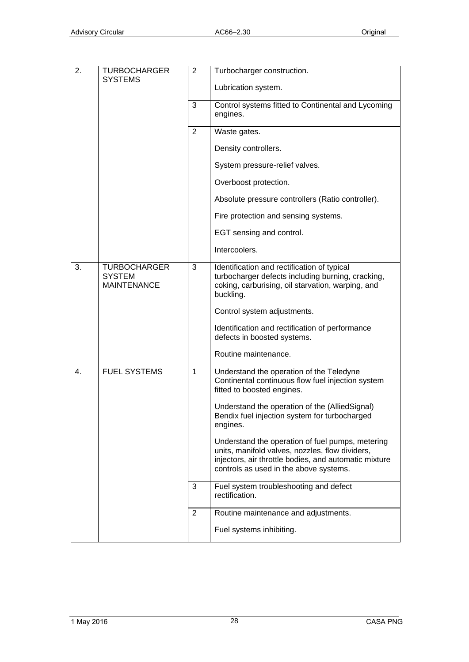| 2. | TURBOCHARGER                                               | 2            | Turbocharger construction.                                                                                                                                                                             |
|----|------------------------------------------------------------|--------------|--------------------------------------------------------------------------------------------------------------------------------------------------------------------------------------------------------|
|    | <b>SYSTEMS</b>                                             |              | Lubrication system.                                                                                                                                                                                    |
|    |                                                            | 3            | Control systems fitted to Continental and Lycoming<br>engines.                                                                                                                                         |
|    |                                                            | 2            | Waste gates.                                                                                                                                                                                           |
|    |                                                            |              | Density controllers.                                                                                                                                                                                   |
|    |                                                            |              | System pressure-relief valves.                                                                                                                                                                         |
|    |                                                            |              | Overboost protection.                                                                                                                                                                                  |
|    |                                                            |              | Absolute pressure controllers (Ratio controller).                                                                                                                                                      |
|    |                                                            |              | Fire protection and sensing systems.                                                                                                                                                                   |
|    |                                                            |              | EGT sensing and control.                                                                                                                                                                               |
|    |                                                            |              | Intercoolers.                                                                                                                                                                                          |
| 3. | <b>TURBOCHARGER</b><br><b>SYSTEM</b><br><b>MAINTENANCE</b> | 3            | Identification and rectification of typical<br>turbocharger defects including burning, cracking,<br>coking, carburising, oil starvation, warping, and<br>buckling.                                     |
|    |                                                            |              | Control system adjustments.                                                                                                                                                                            |
|    |                                                            |              | Identification and rectification of performance<br>defects in boosted systems.                                                                                                                         |
|    |                                                            |              | Routine maintenance.                                                                                                                                                                                   |
| 4. | <b>FUEL SYSTEMS</b>                                        | $\mathbf{1}$ | Understand the operation of the Teledyne<br>Continental continuous flow fuel injection system<br>fitted to boosted engines.                                                                            |
|    |                                                            |              | Understand the operation of the (AlliedSignal)<br>Bendix fuel injection system for turbocharged<br>engines.                                                                                            |
|    |                                                            |              | Understand the operation of fuel pumps, metering<br>units, manifold valves, nozzles, flow dividers,<br>injectors, air throttle bodies, and automatic mixture<br>controls as used in the above systems. |
|    |                                                            | 3            | Fuel system troubleshooting and defect<br>rectification.                                                                                                                                               |
|    |                                                            | 2            | Routine maintenance and adjustments.                                                                                                                                                                   |
|    |                                                            |              | Fuel systems inhibiting.                                                                                                                                                                               |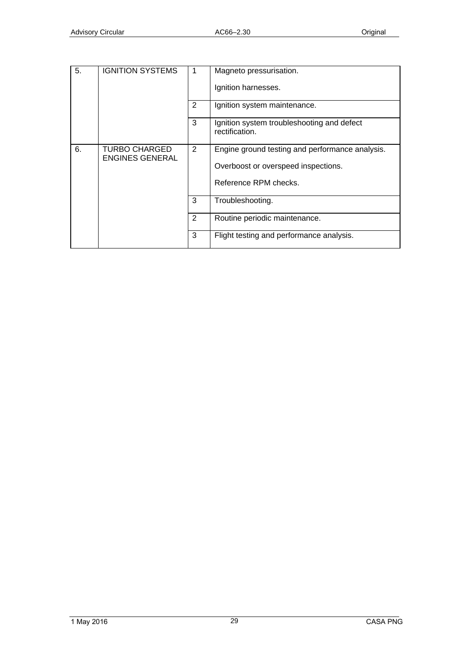| 5. | <b>IGNITION SYSTEMS</b>                 | 1              | Magneto pressurisation.                                      |
|----|-----------------------------------------|----------------|--------------------------------------------------------------|
|    |                                         |                | Ignition harnesses.                                          |
|    |                                         | 2              | Ignition system maintenance.                                 |
|    |                                         | 3              | Ignition system troubleshooting and defect<br>rectification. |
| 6. | TURBO CHARGED<br><b>ENGINES GENERAL</b> | $\overline{2}$ | Engine ground testing and performance analysis.              |
|    |                                         |                | Overboost or overspeed inspections.                          |
|    |                                         |                | Reference RPM checks.                                        |
|    |                                         | 3              | Troubleshooting.                                             |
|    |                                         | 2              | Routine periodic maintenance.                                |
|    |                                         | 3              | Flight testing and performance analysis.                     |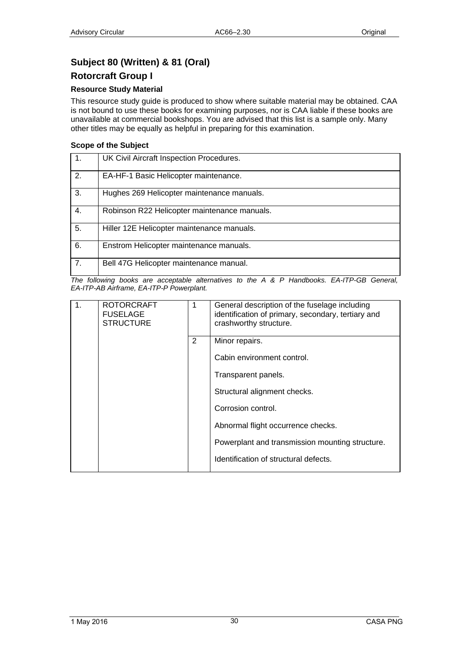## <span id="page-29-1"></span><span id="page-29-0"></span>**Subject 80 (Written) & 81 (Oral)**

### <span id="page-29-2"></span>**Rotorcraft Group I**

### **Resource Study Material**

This resource study guide is produced to show where suitable material may be obtained. CAA is not bound to use these books for examining purposes, nor is CAA liable if these books are unavailable at commercial bookshops. You are advised that this list is a sample only. Many other titles may be equally as helpful in preparing for this examination.

### **Scope of the Subject**

| -1. | UK Civil Aircraft Inspection Procedures.     |
|-----|----------------------------------------------|
| 2.  | EA-HF-1 Basic Helicopter maintenance.        |
| 3.  | Hughes 269 Helicopter maintenance manuals.   |
| 4.  | Robinson R22 Helicopter maintenance manuals. |
| 5.  | Hiller 12E Helicopter maintenance manuals.   |
| 6.  | Enstrom Helicopter maintenance manuals.      |
| 7.  | Bell 47G Helicopter maintenance manual.      |

| $\mathbf{1}$ . | <b>ROTORCRAFT</b><br><b>FUSELAGE</b><br><b>STRUCTURE</b> | 1 | General description of the fuselage including<br>identification of primary, secondary, tertiary and<br>crashworthy structure. |
|----------------|----------------------------------------------------------|---|-------------------------------------------------------------------------------------------------------------------------------|
|                |                                                          | 2 | Minor repairs.                                                                                                                |
|                |                                                          |   | Cabin environment control.                                                                                                    |
|                |                                                          |   | Transparent panels.                                                                                                           |
|                |                                                          |   | Structural alignment checks.                                                                                                  |
|                |                                                          |   | Corrosion control.                                                                                                            |
|                |                                                          |   | Abnormal flight occurrence checks.                                                                                            |
|                |                                                          |   | Powerplant and transmission mounting structure.                                                                               |
|                |                                                          |   | Identification of structural defects.                                                                                         |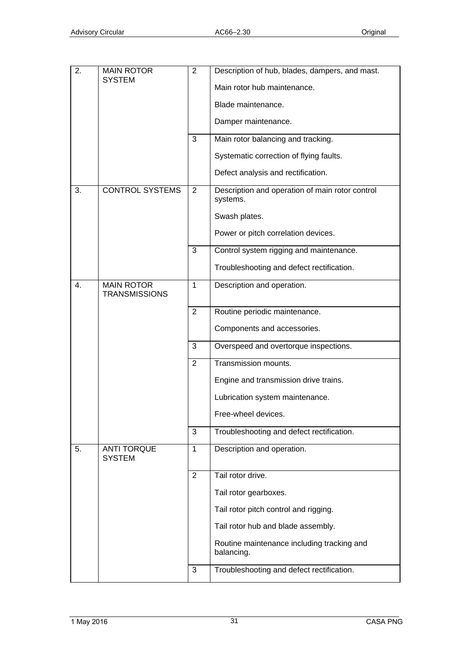| 2. | <b>MAIN ROTOR</b>                         | $\overline{2}$ | Description of hub, blades, dampers, and mast.              |
|----|-------------------------------------------|----------------|-------------------------------------------------------------|
|    | <b>SYSTEM</b>                             |                | Main rotor hub maintenance.                                 |
|    |                                           |                | Blade maintenance.                                          |
|    |                                           |                | Damper maintenance.                                         |
|    |                                           | 3              | Main rotor balancing and tracking.                          |
|    |                                           |                | Systematic correction of flying faults.                     |
|    |                                           |                | Defect analysis and rectification.                          |
| 3. | <b>CONTROL SYSTEMS</b>                    | $\overline{2}$ | Description and operation of main rotor control<br>systems. |
|    |                                           |                | Swash plates.                                               |
|    |                                           |                | Power or pitch correlation devices.                         |
|    |                                           | 3              | Control system rigging and maintenance.                     |
|    |                                           |                | Troubleshooting and defect rectification.                   |
| 4. | <b>MAIN ROTOR</b><br><b>TRANSMISSIONS</b> | 1              | Description and operation.                                  |
|    |                                           | $\overline{2}$ | Routine periodic maintenance.                               |
|    |                                           |                | Components and accessories.                                 |
|    |                                           | 3              | Overspeed and overtorque inspections.                       |
|    |                                           | $\overline{2}$ | Transmission mounts.                                        |
|    |                                           |                | Engine and transmission drive trains.                       |
|    |                                           |                | Lubrication system maintenance.                             |
|    |                                           |                | Free-wheel devices.                                         |
|    |                                           | 3              | Troubleshooting and defect rectification.                   |
| 5. | <b>ANTI TORQUE</b><br><b>SYSTEM</b>       | $\mathbf{1}$   | Description and operation.                                  |
|    |                                           | $\overline{2}$ | Tail rotor drive.                                           |
|    |                                           |                | Tail rotor gearboxes.                                       |
|    |                                           |                | Tail rotor pitch control and rigging.                       |
|    |                                           |                | Tail rotor hub and blade assembly.                          |
|    |                                           |                | Routine maintenance including tracking and<br>balancing.    |
|    |                                           | 3              | Troubleshooting and defect rectification.                   |
|    |                                           |                |                                                             |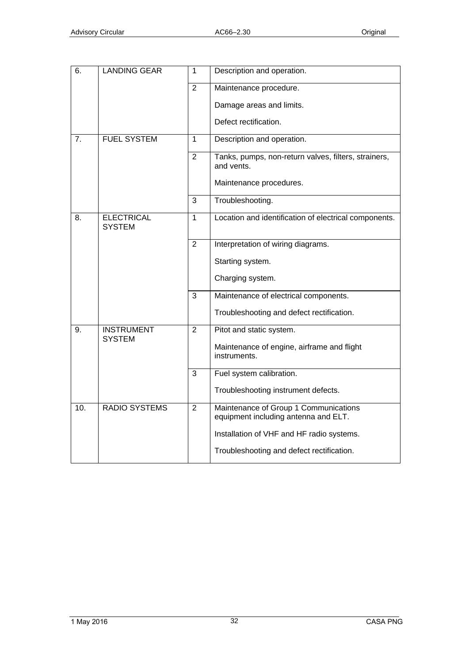| 6.  | <b>LANDING GEAR</b>                | $\mathbf{1}$   | Description and operation.                                                    |
|-----|------------------------------------|----------------|-------------------------------------------------------------------------------|
|     |                                    | $\overline{2}$ | Maintenance procedure.                                                        |
|     |                                    |                | Damage areas and limits.                                                      |
|     |                                    |                | Defect rectification.                                                         |
| 7.  | <b>FUEL SYSTEM</b>                 | $\mathbf{1}$   | Description and operation.                                                    |
|     |                                    | $\overline{2}$ | Tanks, pumps, non-return valves, filters, strainers,<br>and vents.            |
|     |                                    |                | Maintenance procedures.                                                       |
|     |                                    | 3              | Troubleshooting.                                                              |
| 8.  | <b>ELECTRICAL</b><br><b>SYSTEM</b> | $\mathbf{1}$   | Location and identification of electrical components.                         |
|     |                                    | $\overline{2}$ | Interpretation of wiring diagrams.                                            |
|     |                                    |                | Starting system.                                                              |
|     |                                    |                | Charging system.                                                              |
|     |                                    | $\overline{3}$ | Maintenance of electrical components.                                         |
|     |                                    |                | Troubleshooting and defect rectification.                                     |
| 9.  | <b>INSTRUMENT</b><br><b>SYSTEM</b> | $\overline{2}$ | Pitot and static system.                                                      |
|     |                                    |                | Maintenance of engine, airframe and flight<br>instruments.                    |
|     |                                    | 3              | Fuel system calibration.                                                      |
|     |                                    |                | Troubleshooting instrument defects.                                           |
| 10. | <b>RADIO SYSTEMS</b>               | $\overline{2}$ | Maintenance of Group 1 Communications<br>equipment including antenna and ELT. |
|     |                                    |                | Installation of VHF and HF radio systems.                                     |
|     |                                    |                | Troubleshooting and defect rectification.                                     |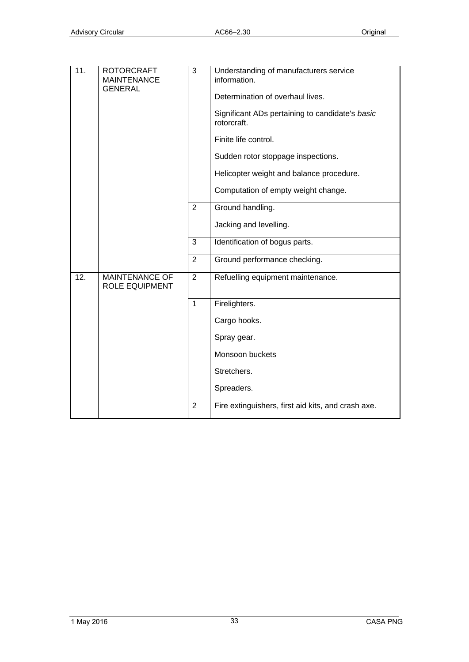| $\overline{11}$ . | <b>ROTORCRAFT</b><br><b>MAINTENANCE</b><br><b>GENERAL</b> | $\overline{3}$ | Understanding of manufacturers service<br>information.<br>Determination of overhaul lives.<br>Significant ADs pertaining to candidate's basic<br>rotorcraft.<br>Finite life control.<br>Sudden rotor stoppage inspections.<br>Helicopter weight and balance procedure.<br>Computation of empty weight change. |
|-------------------|-----------------------------------------------------------|----------------|---------------------------------------------------------------------------------------------------------------------------------------------------------------------------------------------------------------------------------------------------------------------------------------------------------------|
|                   |                                                           | $\overline{2}$ | Ground handling.                                                                                                                                                                                                                                                                                              |
|                   |                                                           |                | Jacking and levelling.                                                                                                                                                                                                                                                                                        |
|                   |                                                           | 3              | Identification of bogus parts.                                                                                                                                                                                                                                                                                |
|                   |                                                           | $\overline{2}$ | Ground performance checking.                                                                                                                                                                                                                                                                                  |
| 12.               | <b>MAINTENANCE OF</b><br>ROLE EQUIPMENT                   | $\overline{2}$ | Refuelling equipment maintenance.                                                                                                                                                                                                                                                                             |
|                   |                                                           | $\mathbf{1}$   | Firelighters.                                                                                                                                                                                                                                                                                                 |
|                   |                                                           |                | Cargo hooks.                                                                                                                                                                                                                                                                                                  |
|                   |                                                           |                | Spray gear.                                                                                                                                                                                                                                                                                                   |
|                   |                                                           |                | Monsoon buckets                                                                                                                                                                                                                                                                                               |
|                   |                                                           |                | Stretchers.                                                                                                                                                                                                                                                                                                   |
|                   |                                                           |                | Spreaders.                                                                                                                                                                                                                                                                                                    |
|                   |                                                           | $\overline{2}$ | Fire extinguishers, first aid kits, and crash axe.                                                                                                                                                                                                                                                            |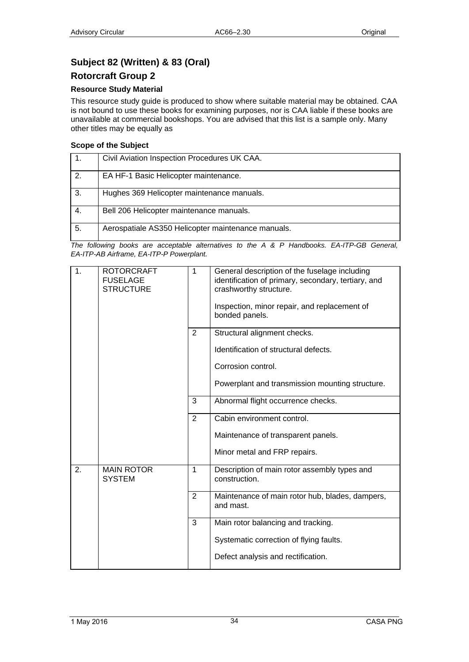## <span id="page-33-1"></span><span id="page-33-0"></span>**Subject 82 (Written) & 83 (Oral)**

### <span id="page-33-2"></span>**Rotorcraft Group 2**

### **Resource Study Material**

This resource study guide is produced to show where suitable material may be obtained. CAA is not bound to use these books for examining purposes, nor is CAA liable if these books are unavailable at commercial bookshops. You are advised that this list is a sample only. Many other titles may be equally as

### **Scope of the Subject**

|    | Civil Aviation Inspection Procedures UK CAA.       |
|----|----------------------------------------------------|
| 2. | EA HF-1 Basic Helicopter maintenance.              |
| 3. | Hughes 369 Helicopter maintenance manuals.         |
| 4. | Bell 206 Helicopter maintenance manuals.           |
| 5. | Aerospatiale AS350 Helicopter maintenance manuals. |

| 1. | <b>ROTORCRAFT</b><br><b>FUSELAGE</b><br><b>STRUCTURE</b> | $\mathbf{1}$   | General description of the fuselage including<br>identification of primary, secondary, tertiary, and<br>crashworthy structure.<br>Inspection, minor repair, and replacement of<br>bonded panels. |
|----|----------------------------------------------------------|----------------|--------------------------------------------------------------------------------------------------------------------------------------------------------------------------------------------------|
|    |                                                          | $\overline{2}$ | Structural alignment checks.                                                                                                                                                                     |
|    |                                                          |                | Identification of structural defects.                                                                                                                                                            |
|    |                                                          |                | Corrosion control.                                                                                                                                                                               |
|    |                                                          |                | Powerplant and transmission mounting structure.                                                                                                                                                  |
|    |                                                          | 3              | Abnormal flight occurrence checks.                                                                                                                                                               |
|    |                                                          | $\overline{2}$ | Cabin environment control.                                                                                                                                                                       |
|    |                                                          |                | Maintenance of transparent panels.                                                                                                                                                               |
|    |                                                          |                | Minor metal and FRP repairs.                                                                                                                                                                     |
| 2. | <b>MAIN ROTOR</b><br><b>SYSTEM</b>                       | 1              | Description of main rotor assembly types and<br>construction.                                                                                                                                    |
|    |                                                          | $\overline{2}$ | Maintenance of main rotor hub, blades, dampers,<br>and mast.                                                                                                                                     |
|    |                                                          | 3              | Main rotor balancing and tracking.                                                                                                                                                               |
|    |                                                          |                | Systematic correction of flying faults.                                                                                                                                                          |
|    |                                                          |                | Defect analysis and rectification.                                                                                                                                                               |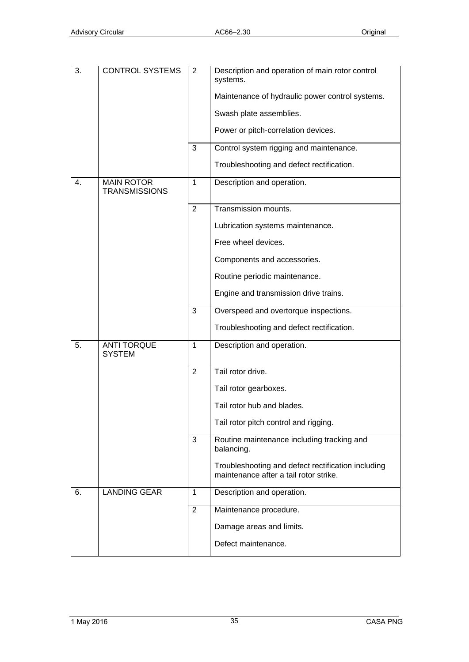| 3.             | <b>CONTROL SYSTEMS</b>                    | 2              | Description and operation of main rotor control<br>systems.                                  |
|----------------|-------------------------------------------|----------------|----------------------------------------------------------------------------------------------|
|                |                                           |                | Maintenance of hydraulic power control systems.                                              |
|                |                                           |                | Swash plate assemblies.                                                                      |
|                |                                           |                | Power or pitch-correlation devices.                                                          |
|                |                                           | 3              | Control system rigging and maintenance.                                                      |
|                |                                           |                | Troubleshooting and defect rectification.                                                    |
| $\mathbf{4}$ . | <b>MAIN ROTOR</b><br><b>TRANSMISSIONS</b> | $\mathbf{1}$   | Description and operation.                                                                   |
|                |                                           | $\overline{2}$ | Transmission mounts.                                                                         |
|                |                                           |                | Lubrication systems maintenance.                                                             |
|                |                                           |                | Free wheel devices.                                                                          |
|                |                                           |                | Components and accessories.                                                                  |
|                |                                           |                | Routine periodic maintenance.                                                                |
|                |                                           |                | Engine and transmission drive trains.                                                        |
|                |                                           | 3              | Overspeed and overtorque inspections.                                                        |
|                |                                           |                | Troubleshooting and defect rectification.                                                    |
| 5.             | <b>ANTI TORQUE</b><br><b>SYSTEM</b>       | $\mathbf{1}$   | Description and operation.                                                                   |
|                |                                           | $\overline{2}$ | Tail rotor drive.                                                                            |
|                |                                           |                | Tail rotor gearboxes.                                                                        |
|                |                                           |                | Tail rotor hub and blades.                                                                   |
|                |                                           |                | Tail rotor pitch control and rigging.                                                        |
|                |                                           | 3              | Routine maintenance including tracking and<br>balancing.                                     |
|                |                                           |                | Troubleshooting and defect rectification including<br>maintenance after a tail rotor strike. |
| 6.             | <b>LANDING GEAR</b>                       | $\mathbf{1}$   | Description and operation.                                                                   |
|                |                                           | $\overline{2}$ | Maintenance procedure.                                                                       |
|                |                                           |                | Damage areas and limits.                                                                     |
|                |                                           |                | Defect maintenance.                                                                          |
|                |                                           |                |                                                                                              |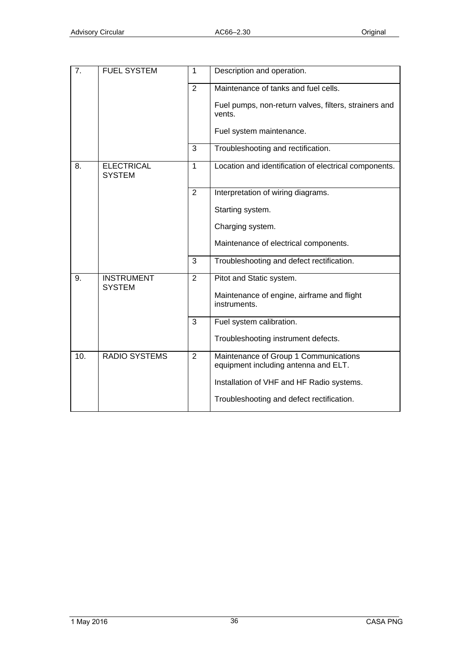| 7.  | <b>FUEL SYSTEM</b>                 | $\mathbf{1}$   | Description and operation.                                                    |
|-----|------------------------------------|----------------|-------------------------------------------------------------------------------|
|     |                                    | $\overline{2}$ | Maintenance of tanks and fuel cells.                                          |
|     |                                    |                | Fuel pumps, non-return valves, filters, strainers and<br>vents.               |
|     |                                    |                | Fuel system maintenance.                                                      |
|     |                                    | 3              | Troubleshooting and rectification.                                            |
| 8.  | <b>ELECTRICAL</b><br><b>SYSTEM</b> | $\mathbf{1}$   | Location and identification of electrical components.                         |
|     |                                    | $\overline{2}$ | Interpretation of wiring diagrams.                                            |
|     |                                    |                | Starting system.                                                              |
|     |                                    |                | Charging system.                                                              |
|     |                                    |                | Maintenance of electrical components.                                         |
|     |                                    | 3              | Troubleshooting and defect rectification.                                     |
| 9.  | <b>INSTRUMENT</b><br><b>SYSTEM</b> | 2              | Pitot and Static system.                                                      |
|     |                                    |                | Maintenance of engine, airframe and flight<br>instruments.                    |
|     |                                    | 3              | Fuel system calibration.                                                      |
|     |                                    |                | Troubleshooting instrument defects.                                           |
| 10. | <b>RADIO SYSTEMS</b>               | $\overline{2}$ | Maintenance of Group 1 Communications<br>equipment including antenna and ELT. |
|     |                                    |                | Installation of VHF and HF Radio systems.                                     |
|     |                                    |                | Troubleshooting and defect rectification.                                     |